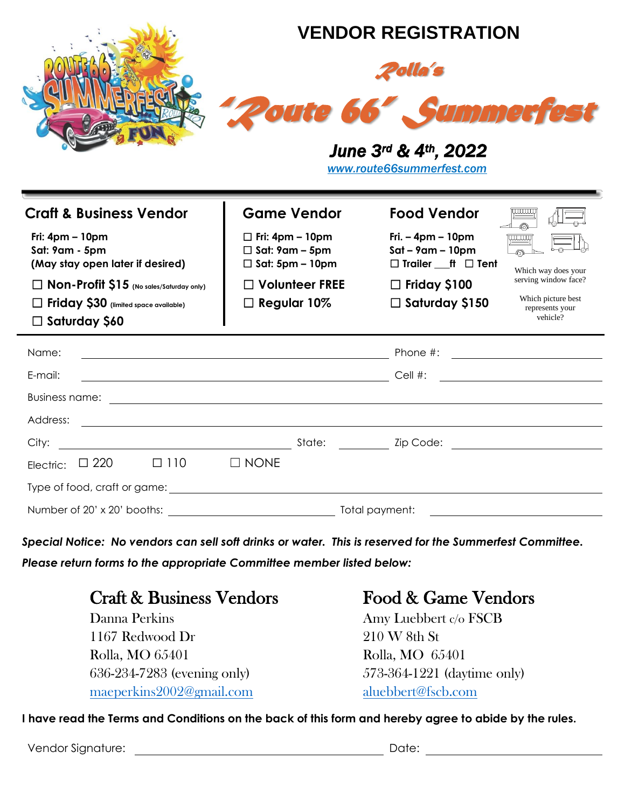

☐ **Non-Profit \$15 (No sales/Saturday only)** ☐ **Volunteer FREE** ☐ **Friday \$100**

☐ **Friday \$30 (limited space available)** ☐ **Regular 10%** ☐ **Saturday \$150**

## ☐ **Saturday \$60**

| Name:<br><u>and the state of the state of the state of the state of the state of the state of the state of the state of th</u> |  |            |             |        |                | Phone #:<br><u> 1980 - Jan Barbara Barbara, prima popular popular popular popular popular popular popular popular popular po</u> |                                                                                                                                                                                                                                      |  |
|--------------------------------------------------------------------------------------------------------------------------------|--|------------|-------------|--------|----------------|----------------------------------------------------------------------------------------------------------------------------------|--------------------------------------------------------------------------------------------------------------------------------------------------------------------------------------------------------------------------------------|--|
| E-mail:                                                                                                                        |  |            |             |        |                | Cell #:                                                                                                                          | <u> 1986 - Johann Stein, fransk kampens og det forskellige og det forskellige og det forskellige og det forskellige og det forskellige og det forskellige og det forskellige og det forskellige og det forskellige og det forske</u> |  |
| <b>Business name:</b>                                                                                                          |  |            |             |        |                |                                                                                                                                  |                                                                                                                                                                                                                                      |  |
| Address:                                                                                                                       |  |            |             |        |                |                                                                                                                                  |                                                                                                                                                                                                                                      |  |
|                                                                                                                                |  |            |             | State: |                |                                                                                                                                  |                                                                                                                                                                                                                                      |  |
| Electric: $\Box$ 220                                                                                                           |  | $\Box$ 110 | $\Box$ NONE |        |                |                                                                                                                                  |                                                                                                                                                                                                                                      |  |
| Type of food, craft or game:                                                                                                   |  |            |             |        |                |                                                                                                                                  |                                                                                                                                                                                                                                      |  |
| Number of 20' x 20' booths:                                                                                                    |  |            |             |        | Total payment: |                                                                                                                                  |                                                                                                                                                                                                                                      |  |

*Special Notice: No vendors can sell soft drinks or water. This is reserved for the Summerfest Committee. Please return forms to the appropriate Committee member listed below:*

## Craft & Business Vendors Food & Game Vendors

Danna Perkins Amy Luebbert c/o FSCB 1167 Redwood Dr 210 W 8th St Rolla, MO 65401 Rolla, MO 65401 636-234-7283 (evening only) 573-364-1221 (daytime only) maeperkins2002@gmail.com [aluebbert@fscb.com](mailto:aluebbert@fscb.com)

serving window face? Which picture best represents your vehicle?

**I have read the Terms and Conditions on the back of this form and hereby agree to abide by the rules.** 

Vendor Signature: with the contract of the contract of the contract of the contract of the contract of the contract of the contract of the contract of the contract of the contract of the contract of the contract of the con